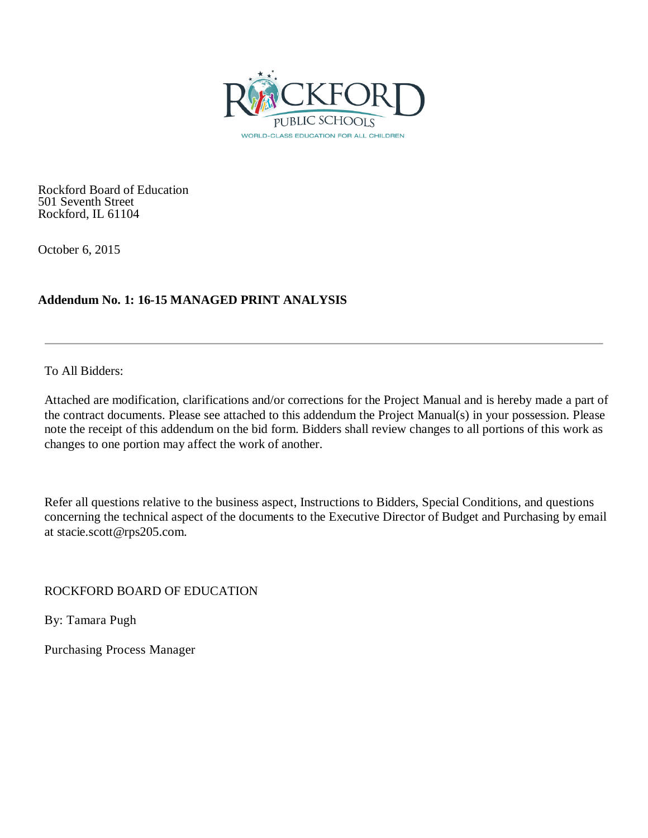

Rockford Board of Education 501 Seventh Street Rockford, IL 61104

October 6, 2015

# **Addendum No. 1: 16-15 MANAGED PRINT ANALYSIS**

To All Bidders:

Attached are modification, clarifications and/or corrections for the Project Manual and is hereby made a part of the contract documents. Please see attached to this addendum the Project Manual(s) in your possession. Please note the receipt of this addendum on the bid form. Bidders shall review changes to all portions of this work as changes to one portion may affect the work of another.

Refer all questions relative to the business aspect, Instructions to Bidders, Special Conditions, and questions concerning the technical aspect of the documents to the Executive Director of Budget and Purchasing by email at stacie.scott@rps205.com.

ROCKFORD BOARD OF EDUCATION

By: Tamara Pugh

Purchasing Process Manager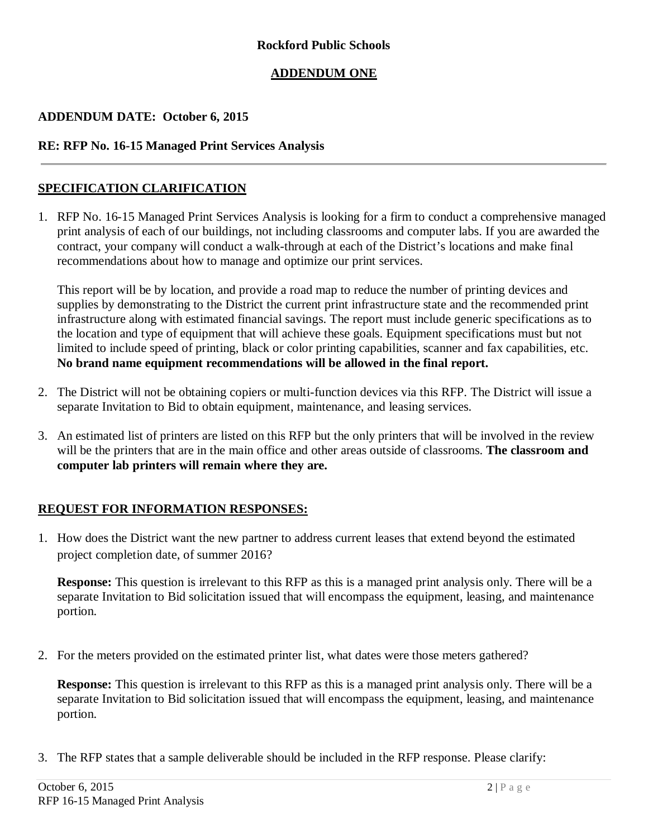### **Rockford Public Schools**

## **ADDENDUM ONE**

#### **ADDENDUM DATE: October 6, 2015**

#### **RE: RFP No. 16-15 Managed Print Services Analysis**

#### **SPECIFICATION CLARIFICATION**

1. RFP No. 16-15 Managed Print Services Analysis is looking for a firm to conduct a comprehensive managed print analysis of each of our buildings, not including classrooms and computer labs. If you are awarded the contract, your company will conduct a walk-through at each of the District's locations and make final recommendations about how to manage and optimize our print services.

This report will be by location, and provide a road map to reduce the number of printing devices and supplies by demonstrating to the District the current print infrastructure state and the recommended print infrastructure along with estimated financial savings. The report must include generic specifications as to the location and type of equipment that will achieve these goals. Equipment specifications must but not limited to include speed of printing, black or color printing capabilities, scanner and fax capabilities, etc. **No brand name equipment recommendations will be allowed in the final report.**

- 2. The District will not be obtaining copiers or multi-function devices via this RFP. The District will issue a separate Invitation to Bid to obtain equipment, maintenance, and leasing services.
- 3. An estimated list of printers are listed on this RFP but the only printers that will be involved in the review will be the printers that are in the main office and other areas outside of classrooms. **The classroom and computer lab printers will remain where they are.**

#### **REQUEST FOR INFORMATION RESPONSES:**

1. How does the District want the new partner to address current leases that extend beyond the estimated project completion date, of summer 2016?

**Response:** This question is irrelevant to this RFP as this is a managed print analysis only. There will be a separate Invitation to Bid solicitation issued that will encompass the equipment, leasing, and maintenance portion.

2. For the meters provided on the estimated printer list, what dates were those meters gathered?

**Response:** This question is irrelevant to this RFP as this is a managed print analysis only. There will be a separate Invitation to Bid solicitation issued that will encompass the equipment, leasing, and maintenance portion.

3. The RFP states that a sample deliverable should be included in the RFP response. Please clarify: